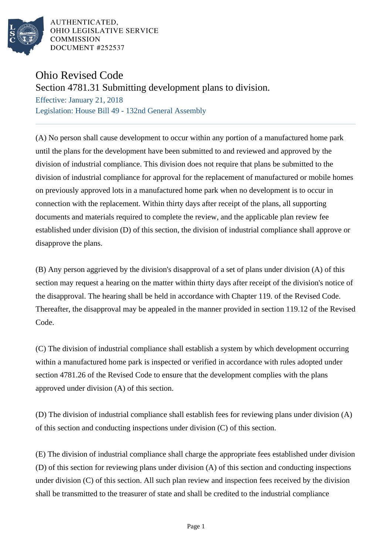

AUTHENTICATED, OHIO LEGISLATIVE SERVICE **COMMISSION** DOCUMENT #252537

## Ohio Revised Code

Section 4781.31 Submitting development plans to division.

Effective: January 21, 2018 Legislation: House Bill 49 - 132nd General Assembly

(A) No person shall cause development to occur within any portion of a manufactured home park until the plans for the development have been submitted to and reviewed and approved by the division of industrial compliance. This division does not require that plans be submitted to the division of industrial compliance for approval for the replacement of manufactured or mobile homes on previously approved lots in a manufactured home park when no development is to occur in connection with the replacement. Within thirty days after receipt of the plans, all supporting documents and materials required to complete the review, and the applicable plan review fee established under division (D) of this section, the division of industrial compliance shall approve or disapprove the plans.

(B) Any person aggrieved by the division's disapproval of a set of plans under division (A) of this section may request a hearing on the matter within thirty days after receipt of the division's notice of the disapproval. The hearing shall be held in accordance with Chapter 119. of the Revised Code. Thereafter, the disapproval may be appealed in the manner provided in section 119.12 of the Revised Code.

(C) The division of industrial compliance shall establish a system by which development occurring within a manufactured home park is inspected or verified in accordance with rules adopted under section 4781.26 of the Revised Code to ensure that the development complies with the plans approved under division (A) of this section.

(D) The division of industrial compliance shall establish fees for reviewing plans under division (A) of this section and conducting inspections under division (C) of this section.

(E) The division of industrial compliance shall charge the appropriate fees established under division (D) of this section for reviewing plans under division (A) of this section and conducting inspections under division (C) of this section. All such plan review and inspection fees received by the division shall be transmitted to the treasurer of state and shall be credited to the industrial compliance